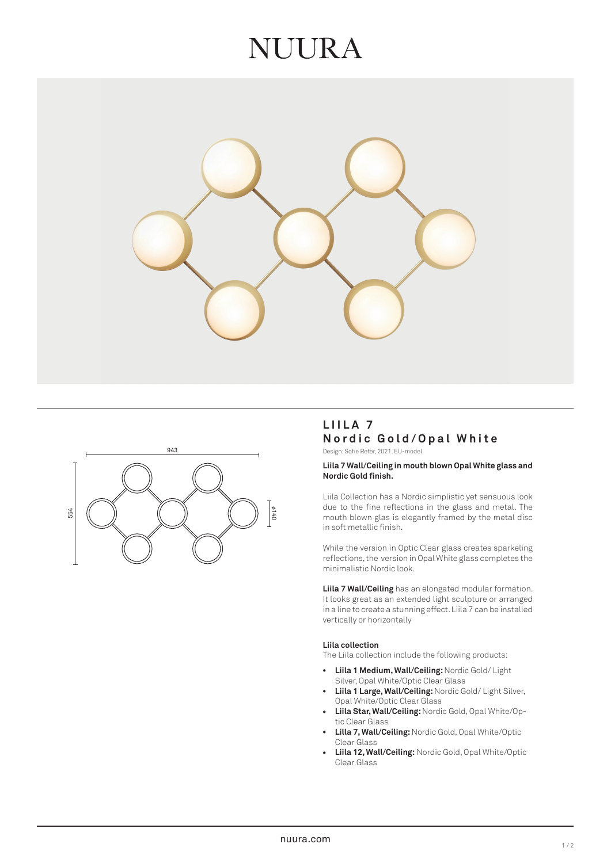# NUIRA





# **LIILA 7 Nordic Gold/Opal White**

Design: Sofie Refer, 2021. EU-model.

#### **Liila 7 Wall/Ceiling in mouth blown Opal White glass and Nordic Gold finish.**

Liila Collection has a Nordic simplistic yet sensuous look due to the fine reflections in the glass and metal. The mouth blown glas is elegantly framed by the metal disc in soft metallic finish.

While the version in Optic Clear glass creates sparkeling reflections, the version in Opal White glass completes the minimalistic Nordic look.

**Liila 7 Wall/Ceiling** has an elongated modular formation. It looks great as an extended light sculpture or arranged in a line to create a stunning effect. Liila 7 can be installed vertically or horizontally

#### **Liila collection**

The Liila collection include the following products:

- $\bullet$ **Liila 1 Medium, Wall/Ceiling:** Nordic Gold/ Light Silver, Opal White/Optic Clear Glass
- **Liila 1 Large, Wall/Ceiling:** Nordic Gold/ Light Silver,  $\bullet$ Opal White/Optic Clear Glass
- **Liila Star, Wall/Ceiling:** Nordic Gold, Opal White/Op tic Clear Glass
- •••••••••••••• **Lilla 7, Wall/Ceiling:** Nordic Gold, Opal White/Optic  $\overline{\phantom{a}}$ Clear Glass
- **Liila 12, Wall/Ceiling:** Nordic Gold, Opal White/Optic  $\bullet$ Clear Glass